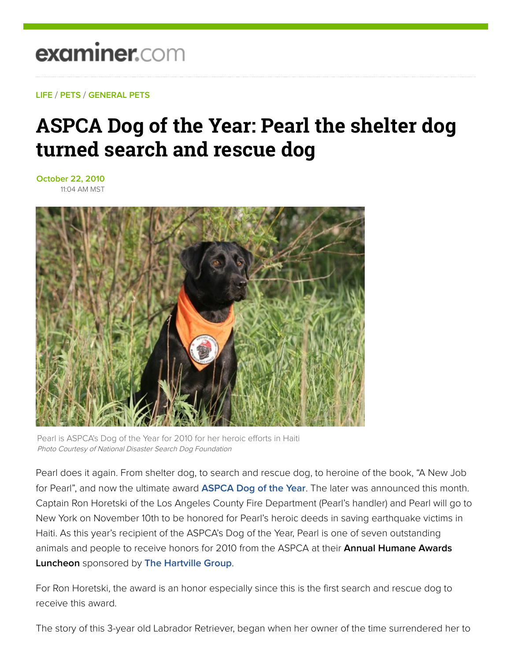## examiner.com

**LIFE** / **PETS** / **GENERAL PETS**

## **ASPCA Dog of the Year: Pearl the shelter dog turned search and rescue dog**

**October 22, 2010** 11:04 AM MST



Pearl is ASPCA's Dog of the Year for 2010 for her heroic efforts in Haiti Photo Courtesy of National Disaster Search Dog Foundation

Pearl does it again. From shelter dog, to search and rescue dog, to heroine of the book, "A New Job for Pearl", and now the ultimate award **ASPCA Dog of the Year**. The later was announced this month. Captain Ron Horetski of the Los Angeles County Fire Department (Pearl's handler) and Pearl will go to New York on November 10th to be honored for Pearl's heroic deeds in saving earthquake victims in Haiti. As this year's recipient of the ASPCA's Dog of the Year, Pearl is one of seven outstanding animals and people to receive honors for 2010 from the ASPCA at their **Annual Humane Awards Luncheon** sponsored by **The Hartville Group**.

For Ron Horetski, the award is an honor especially since this is the first search and rescue dog to receive this award.

The story of this 3-year old Labrador Retriever, began when her owner of the time surrendered her to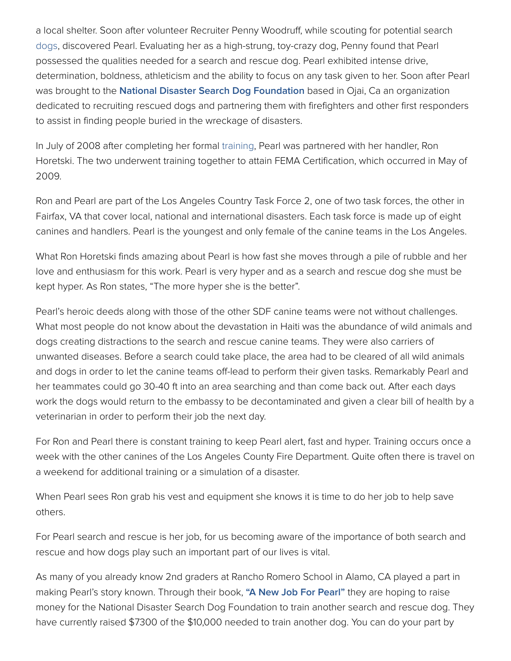a local shelter. Soon after volunteer Recruiter Penny Woodruff, while scouting for potential search dogs, discovered Pearl. Evaluating her as a high-strung, toy-crazy dog, Penny found that Pearl possessed the qualities needed for a search and rescue dog. Pearl exhibited intense drive, determination, boldness, athleticism and the ability to focus on any task given to her. Soon after Pearl was brought to the **National Disaster Search Dog Foundation** based in Ojai, Ca an organization dedicated to recruiting rescued dogs and partnering them with firefighters and other first responders to assist in finding people buried in the wreckage of disasters.

In July of 2008 after completing her formal training, Pearl was partnered with her handler, Ron Horetski. The two underwent training together to attain FEMA Certification, which occurred in May of 2009.

Ron and Pearl are part of the Los Angeles Country Task Force 2, one of two task forces, the other in Fairfax, VA that cover local, national and international disasters. Each task force is made up of eight canines and handlers. Pearl is the youngest and only female of the canine teams in the Los Angeles.

What Ron Horetski finds amazing about Pearl is how fast she moves through a pile of rubble and her love and enthusiasm for this work. Pearl is very hyper and as a search and rescue dog she must be kept hyper. As Ron states, "The more hyper she is the better".

Pearl's heroic deeds along with those of the other SDF canine teams were not without challenges. What most people do not know about the devastation in Haiti was the abundance of wild animals and dogs creating distractions to the search and rescue canine teams. They were also carriers of unwanted diseases. Before a search could take place, the area had to be cleared of all wild animals and dogs in order to let the canine teams off-lead to perform their given tasks. Remarkably Pearl and her teammates could go 30-40 ft into an area searching and than come back out. After each days work the dogs would return to the embassy to be decontaminated and given a clear bill of health by a veterinarian in order to perform their job the next day.

For Ron and Pearl there is constant training to keep Pearl alert, fast and hyper. Training occurs once a week with the other canines of the Los Angeles County Fire Department. Quite often there is travel on a weekend for additional training or a simulation of a disaster.

When Pearl sees Ron grab his vest and equipment she knows it is time to do her job to help save others.

For Pearl search and rescue is her job, for us becoming aware of the importance of both search and rescue and how dogs play such an important part of our lives is vital.

As many of you already know 2nd graders at Rancho Romero School in Alamo, CA played a part in making Pearl's story known. Through their book, **"A New Job For Pearl"** they are hoping to raise money for the National Disaster Search Dog Foundation to train another search and rescue dog. They have currently raised \$7300 of the \$10,000 needed to train another dog. You can do your part by